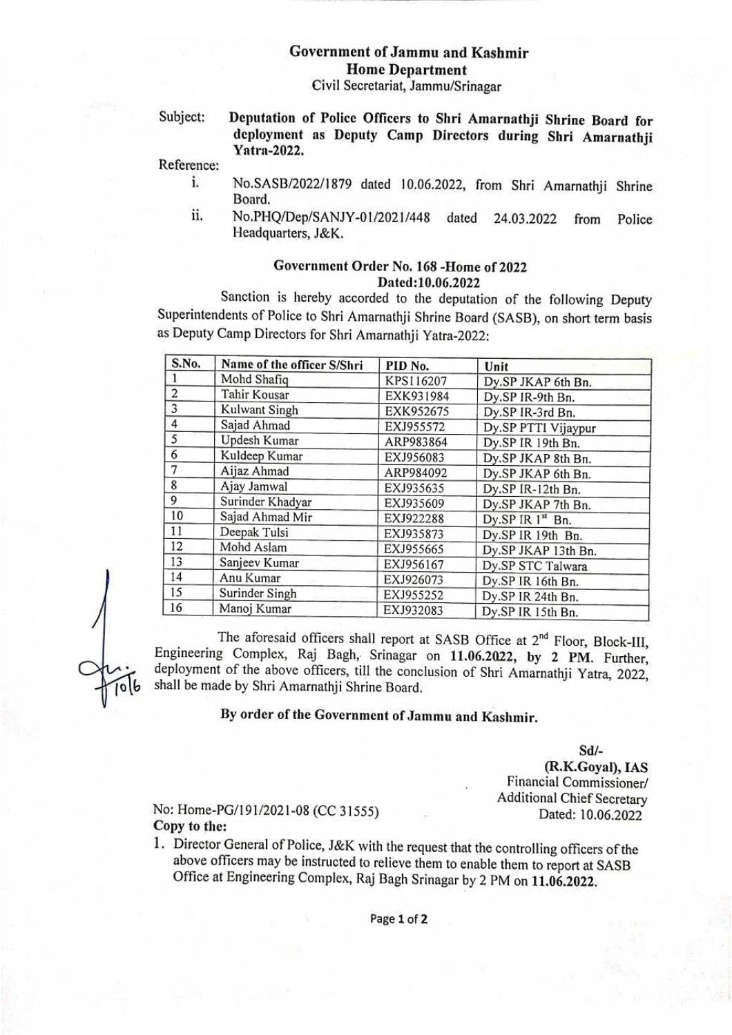# Government of Jammu and Kashmir Home Department

Civil Secretariat, Jammu/Srinagar

Subject: Deputation of Police Officers to Shri Amarnathji Shrine Board for deployment as Deputy Camp Directors during Shri Amarnathji Yatra-2022.

Reference:

- i. No.SASB/2022/1879 dated 10.06.2022, from Shri Amarnathji Shrine Board.
- No.PHQ/Dep/SANJY-01/2021/448 dated 24.03.2022 from Police Headquarters, J&K. i.

#### Goverument Order No. 168 -Home of 2022 Dated:10.06.2022

Sanction is hereby accorded to the deputation of the following Deputy Superintendents of Police to Shri Amarnathji Shrine Board (SASB), on short term basis as Deputy Camp Directors for Shri Amarnathji Yatra-2022:

| S.No.          | Name of the officer S/Shri | PID No.   | Unit                |
|----------------|----------------------------|-----------|---------------------|
|                | Mohd Shafiq                | KPS116207 | Dy.SP JKAP 6th Bn.  |
| $\overline{2}$ | Tahir Kousar               | EXK931984 | Dy.SP IR-9th Bn.    |
| 3              | Kulwant Singh              | EXK952675 | Dy.SP IR-3rd Bn.    |
| 4              | Sajad Ahmad                | EXJ955572 | Dy.SP PTTI Vijaypur |
| 5              | Updesh Kumar               | ARP983864 | Dy.SP IR 19th Bn.   |
| 6              | Kuldeep Kumar              | EXJ956083 | Dy.SP JKAP 8th Bn.  |
| 7              | Aijaz Ahmad                | ARP984092 | Dy.SP JKAP 6th Bn.  |
| 8              | Ajay Jamwal                | EXJ935635 | Dy.SP IR-12th Bn.   |
| 9              | Surinder Khadyar           | EXJ935609 | Dy.SP JKAP 7th Bn.  |
| 10             | Sajad Ahmad Mir            | EXJ922288 | Dy.SP IR 1st Bn.    |
| 11             | Deepak Tulsi               | EXJ935873 | Dy.SP IR 19th Bn.   |
| 12             | Mohd Aslam                 | EXJ955665 | Dy.SP JKAP 13th Bn. |
| 13             | Sanjeev Kumar              | EXJ956167 | Dy.SP STC Talwara   |
| 14             | Anu Kumar                  | EXJ926073 | Dy.SP IR 16th Bn.   |
| 15             | Surinder Singh             | EXJ955252 | Dy.SP IR 24th Bn.   |
| 16             | Manoj Kumar                | EXJ932083 | Dy.SP IR 15th Bn.   |

The aforesaid officers shall report at SASB Office at 2<sup>nd</sup> Floor, Block-III, Engineering Complex, Raj Bagh, Srinagar on 11.06.2022, by 2 PM. Further, deployment of the above officers, till the conclusion of Shri Amarnathji Yatra, 2022, shall be made by Shri Amarnathji Shrine Board.

## By order of the Government of Jammu and Kashmir.

Sd/-

(R.K.Goyal), IAS Financial Commissioner/ Additional Chief Secretary Dated: 10.06.2022

### No: Home-PG/191/2021-08 (CC 31555) Copy to the:

1. Director General of Police, J&K with the request that the controlling officers of the above officers may be instructed to relieve them to enable them to report at SASB Office at Engineering Complex, Raj Bagh Srinagar by <sup>2</sup> PM on 11.06.2022.

Page 1 of 2